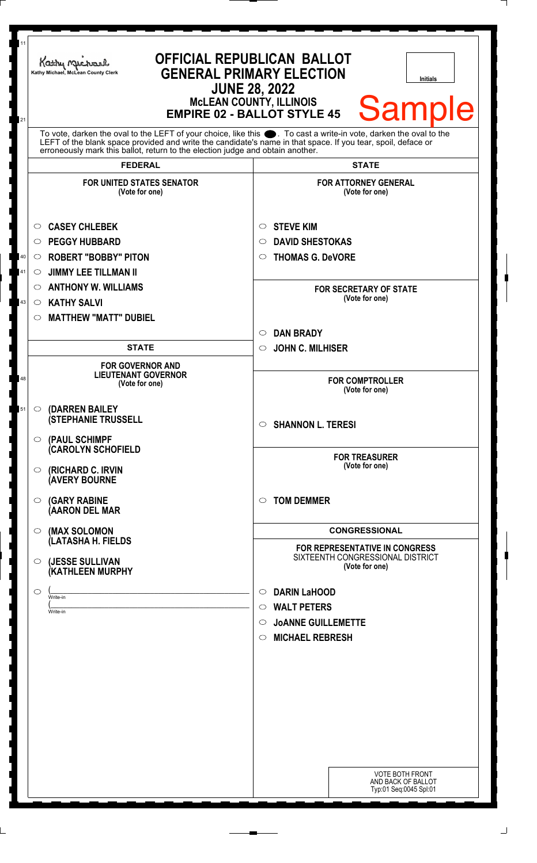| 11<br><b>OFFICIAL REPUBLICAN BALLOT</b><br>Kathy Michael<br><b>GENERAL PRIMARY ELECTION</b><br>Kathy Michael, McLean County Clerk<br><b>Initials</b><br><b>JUNE 28, 2022</b><br><b>MCLEAN COUNTY, ILLINOIS</b><br><b>Sample</b><br><b>EMPIRE 02 - BALLOT STYLE 45</b><br>21                                        |                                                                                                                                                                                                                          |
|--------------------------------------------------------------------------------------------------------------------------------------------------------------------------------------------------------------------------------------------------------------------------------------------------------------------|--------------------------------------------------------------------------------------------------------------------------------------------------------------------------------------------------------------------------|
| To vote, darken the oval to the LEFT of your choice, like this . To cast a write-in vote, darken the oval to the<br>LEFT of the blank space provided and write the candidate's name in that space. If you tear, spoil, deface or<br>erroneously mark this ballot, return to the election judge and obtain another. |                                                                                                                                                                                                                          |
| <b>FEDERAL</b><br><b>FOR UNITED STATES SENATOR</b><br>(Vote for one)                                                                                                                                                                                                                                               | <b>STATE</b><br><b>FOR ATTORNEY GENERAL</b><br>(Vote for one)                                                                                                                                                            |
| <b>CASEY CHLEBEK</b><br>O<br><b>PEGGY HUBBARD</b><br>$\circ$<br><b>ROBERT "BOBBY" PITON</b><br>40<br>$\circ$<br><b>JIMMY LEE TILLMAN II</b><br>41<br>O<br><b>ANTHONY W. WILLIAMS</b><br>$\circ$<br><b>KATHY SALVI</b><br>43<br>$\circ$<br><b>MATTHEW "MATT" DUBIEL</b><br>$\circ$<br><b>STATE</b>                  | <b>STEVE KIM</b><br>O<br><b>DAVID SHESTOKAS</b><br>$\circ$<br><b>THOMAS G. DeVORE</b><br>$\circ$<br><b>FOR SECRETARY OF STATE</b><br>(Vote for one)<br><b>DAN BRADY</b><br>$\circ$<br><b>JOHN C. MILHISER</b><br>$\circ$ |
| <b>FOR GOVERNOR AND</b><br><b>LIEUTENANT GOVERNOR</b><br>48<br>(Vote for one)<br>(DARREN BAILEY<br>51<br>$\circ$<br><b>(STEPHANIE TRUSSELL</b>                                                                                                                                                                     | <b>FOR COMPTROLLER</b><br>(Vote for one)<br><b>SHANNON L. TERESI</b><br>$\circ$                                                                                                                                          |
| (PAUL SCHIMPF<br>$\circ$<br>(CAROLYN SCHOFIELD<br>(RICHARD C. IRVIN<br>O<br><b>(AVERY BOURNE</b><br><b>(GARY RABINE</b><br>O                                                                                                                                                                                       | <b>FOR TREASURER</b><br>(Vote for one)<br><b>TOM DEMMER</b><br>$\circ$                                                                                                                                                   |
| (AARON DEL MAR<br>(MAX SOLOMON<br>$\circ$<br>(LATASHA H. FIELDS<br>(JESSE SULLIVAN<br>O<br>(KATHLEEN MURPHY                                                                                                                                                                                                        | <b>CONGRESSIONAL</b><br><b>FOR REPRESENTATIVE IN CONGRESS</b><br>SIXTEENTH CONGRESSIONAL DISTRICT<br>(Vote for one)                                                                                                      |
| ◯<br>Write-in<br>Write-in                                                                                                                                                                                                                                                                                          | <b>DARIN LaHOOD</b><br>$\circ$<br><b>WALT PETERS</b><br>$\circ$<br><b>JOANNE GUILLEMETTE</b><br>$\circ$<br><b>MICHAEL REBRESH</b><br>$\circ$                                                                             |
|                                                                                                                                                                                                                                                                                                                    | <b>VOTE BOTH FRONT</b><br>AND BACK OF BALLOT<br>Typ:01 Seq:0045 Spl:01                                                                                                                                                   |